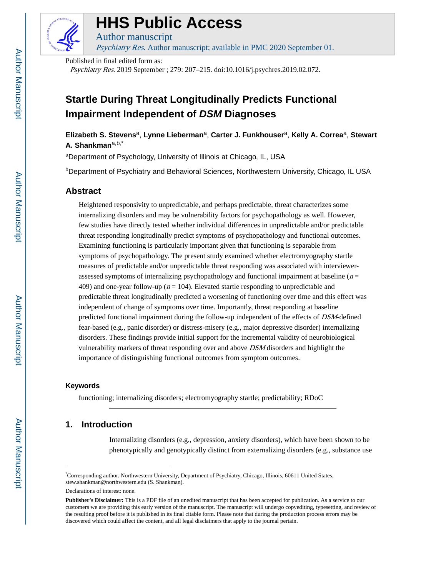

# **HHS Public Access**

Author manuscript Psychiatry Res. Author manuscript; available in PMC 2020 September 01.

Published in final edited form as: Psychiatry Res. 2019 September ; 279: 207–215. doi:10.1016/j.psychres.2019.02.072.

# **Startle During Threat Longitudinally Predicts Functional Impairment Independent of DSM Diagnoses**

**Elizabeth S. Stevens**a, **Lynne Lieberman**a, **Carter J. Funkhouser**a, **Kelly A. Correa**a, **Stewart A. Shankman**a,b,\*

aDepartment of Psychology, University of Illinois at Chicago, IL, USA

<sup>b</sup>Department of Psychiatry and Behavioral Sciences, Northwestern University, Chicago, IL USA

# **Abstract**

Heightened responsivity to unpredictable, and perhaps predictable, threat characterizes some internalizing disorders and may be vulnerability factors for psychopathology as well. However, few studies have directly tested whether individual differences in unpredictable and/or predictable threat responding longitudinally predict symptoms of psychopathology and functional outcomes. Examining functioning is particularly important given that functioning is separable from symptoms of psychopathology. The present study examined whether electromyography startle measures of predictable and/or unpredictable threat responding was associated with interviewerassessed symptoms of internalizing psychopathology and functional impairment at baseline ( $n =$ 409) and one-year follow-up ( $n = 104$ ). Elevated startle responding to unpredictable and predictable threat longitudinally predicted a worsening of functioning over time and this effect was independent of change of symptoms over time. Importantly, threat responding at baseline predicted functional impairment during the follow-up independent of the effects of DSM-defined fear-based (e.g., panic disorder) or distress-misery (e.g., major depressive disorder) internalizing disorders. These findings provide initial support for the incremental validity of neurobiological vulnerability markers of threat responding over and above DSM disorders and highlight the importance of distinguishing functional outcomes from symptom outcomes.

# **Keywords**

functioning; internalizing disorders; electromyography startle; predictability; RDoC

# **1. Introduction**

Internalizing disorders (e.g., depression, anxiety disorders), which have been shown to be phenotypically and genotypically distinct from externalizing disorders (e.g., substance use

<sup>\*</sup>Corresponding author. Northwestern University, Department of Psychiatry, Chicago, Illinois, 60611 United States, stew.shankman@northwestern.edu (S. Shankman).

Declarations of interest: none.

**Publisher's Disclaimer:** This is a PDF file of an unedited manuscript that has been accepted for publication. As a service to our customers we are providing this early version of the manuscript. The manuscript will undergo copyediting, typesetting, and review of the resulting proof before it is published in its final citable form. Please note that during the production process errors may be discovered which could affect the content, and all legal disclaimers that apply to the journal pertain.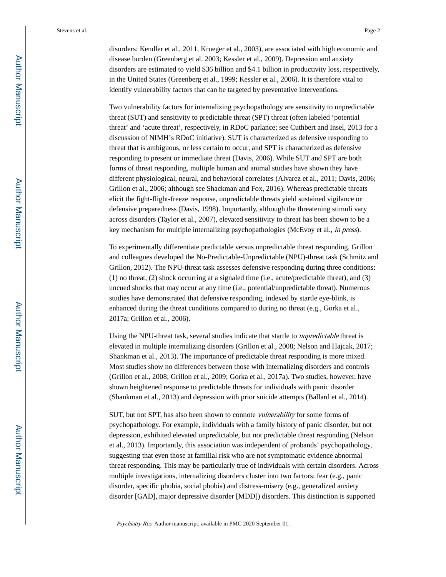disorders; Kendler et al., 2011, Krueger et al., 2003), are associated with high economic and disease burden (Greenberg et al. 2003; Kessler et al., 2009). Depression and anxiety disorders are estimated to yield \$36 billion and \$4.1 billion in productivity loss, respectively, in the United States (Greenberg et al., 1999; Kessler et al., 2006). It is therefore vital to identify vulnerability factors that can be targeted by preventative interventions.

Two vulnerability factors for internalizing psychopathology are sensitivity to unpredictable threat (SUT) and sensitivity to predictable threat (SPT) threat (often labeled 'potential threat' and 'acute threat', respectively, in RDoC parlance; see Cuthbert and Insel, 2013 for a discussion of NIMH's RDoC initiative). SUT is characterized as defensive responding to threat that is ambiguous, or less certain to occur, and SPT is characterized as defensive responding to present or immediate threat (Davis, 2006). While SUT and SPT are both forms of threat responding, multiple human and animal studies have shown they have different physiological, neural, and behavioral correlates (Alvarez et al., 2011; Davis, 2006; Grillon et al., 2006; although see Shackman and Fox, 2016). Whereas predictable threats elicit the fight-flight-freeze response, unpredictable threats yield sustained vigilance or defensive preparedness (Davis, 1998). Importantly, although the threatening stimuli vary across disorders (Taylor et al., 2007), elevated sensitivity to threat has been shown to be a key mechanism for multiple internalizing psychopathologies (McEvoy et al., in press).

To experimentally differentiate predictable versus unpredictable threat responding, Grillon and colleagues developed the No-Predictable-Unpredictable (NPU)-threat task (Schmitz and Grillon, 2012). The NPU-threat task assesses defensive responding during three conditions: (1) no threat, (2) shock occurring at a signaled time (i.e., acute/predictable threat), and (3) uncued shocks that may occur at any time (i.e., potential/unpredictable threat). Numerous studies have demonstrated that defensive responding, indexed by startle eye-blink, is enhanced during the threat conditions compared to during no threat (e.g., Gorka et al., 2017a; Grillon et al., 2006).

Using the NPU-threat task, several studies indicate that startle to *unpredictable* threat is elevated in multiple internalizing disorders (Grillon et al., 2008; Nelson and Hajcak, 2017; Shankman et al., 2013). The importance of predictable threat responding is more mixed. Most studies show no differences between those with internalizing disorders and controls (Grillon et al., 2008; Grillon et al., 2009; Gorka et al., 2017a). Two studies, however, have shown heightened response to predictable threats for individuals with panic disorder (Shankman et al., 2013) and depression with prior suicide attempts (Ballard et al., 2014).

SUT, but not SPT, has also been shown to connote vulnerability for some forms of psychopathology. For example, individuals with a family history of panic disorder, but not depression, exhibited elevated unpredictable, but not predictable threat responding (Nelson et al., 2013). Importantly, this association was independent of probands' psychopathology, suggesting that even those at familial risk who are not symptomatic evidence abnormal threat responding. This may be particularly true of individuals with certain disorders. Across multiple investigations, internalizing disorders cluster into two factors: fear (e.g., panic disorder, specific phobia, social phobia) and distress-misery (e.g., generalized anxiety disorder [GAD], major depressive disorder [MDD]) disorders. This distinction is supported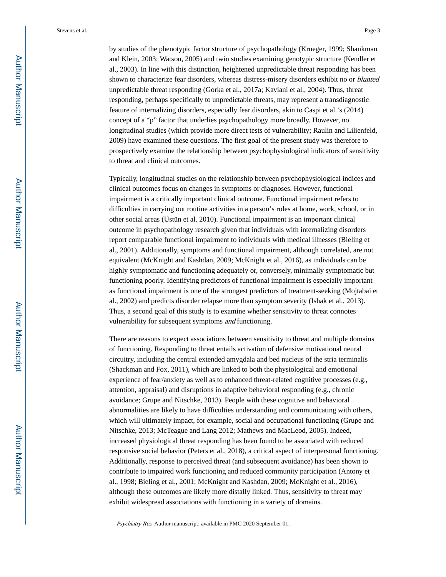Stevens et al. Page 3

by studies of the phenotypic factor structure of psychopathology (Krueger, 1999; Shankman and Klein, 2003; Watson, 2005) and twin studies examining genotypic structure (Kendler et al., 2003). In line with this distinction, heightened unpredictable threat responding has been shown to characterize fear disorders, whereas distress-misery disorders exhibit no or blunted unpredictable threat responding (Gorka et al., 2017a; Kaviani et al., 2004). Thus, threat responding, perhaps specifically to unpredictable threats, may represent a transdiagnostic feature of internalizing disorders, especially fear disorders, akin to Caspi et al.'s (2014) concept of a "p" factor that underlies psychopathology more broadly. However, no longitudinal studies (which provide more direct tests of vulnerability; Raulin and Lilienfeld, 2009) have examined these questions. The first goal of the present study was therefore to prospectively examine the relationship between psychophysiological indicators of sensitivity to threat and clinical outcomes.

Typically, longitudinal studies on the relationship between psychophysiological indices and clinical outcomes focus on changes in symptoms or diagnoses. However, functional impairment is a critically important clinical outcome. Functional impairment refers to difficulties in carrying out routine activities in a person's roles at home, work, school, or in other social areas (Üstün et al. 2010). Functional impairment is an important clinical outcome in psychopathology research given that individuals with internalizing disorders report comparable functional impairment to individuals with medical illnesses (Bieling et al., 2001). Additionally, symptoms and functional impairment, although correlated, are not equivalent (McKnight and Kashdan, 2009; McKnight et al., 2016), as individuals can be highly symptomatic and functioning adequately or, conversely, minimally symptomatic but functioning poorly. Identifying predictors of functional impairment is especially important as functional impairment is one of the strongest predictors of treatment-seeking (Mojtabai et al., 2002) and predicts disorder relapse more than symptom severity (Ishak et al., 2013). Thus, a second goal of this study is to examine whether sensitivity to threat connotes vulnerability for subsequent symptoms *and* functioning.

There are reasons to expect associations between sensitivity to threat and multiple domains of functioning. Responding to threat entails activation of defensive motivational neural circuitry, including the central extended amygdala and bed nucleus of the stria terminalis (Shackman and Fox, 2011), which are linked to both the physiological and emotional experience of fear/anxiety as well as to enhanced threat-related cognitive processes (e.g., attention, appraisal) and disruptions in adaptive behavioral responding (e.g., chronic avoidance; Grupe and Nitschke, 2013). People with these cognitive and behavioral abnormalities are likely to have difficulties understanding and communicating with others, which will ultimately impact, for example, social and occupational functioning (Grupe and Nitschke, 2013; McTeague and Lang 2012; Mathews and MacLeod, 2005). Indeed, increased physiological threat responding has been found to be associated with reduced responsive social behavior (Peters et al., 2018), a critical aspect of interpersonal functioning. Additionally, response to perceived threat (and subsequent avoidance) has been shown to contribute to impaired work functioning and reduced community participation (Antony et al., 1998; Bieling et al., 2001; McKnight and Kashdan, 2009; McKnight et al., 2016), although these outcomes are likely more distally linked. Thus, sensitivity to threat may exhibit widespread associations with functioning in a variety of domains.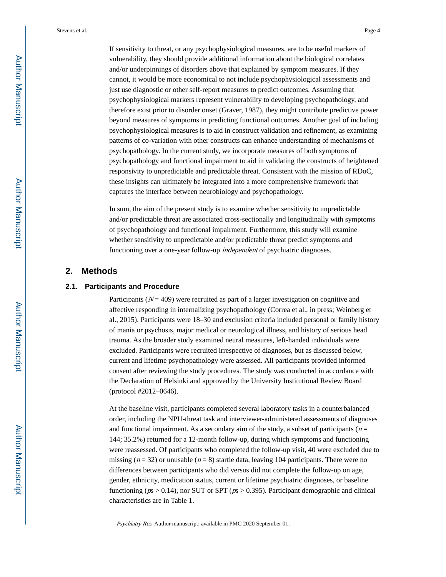If sensitivity to threat, or any psychophysiological measures, are to be useful markers of vulnerability, they should provide additional information about the biological correlates and/or underpinnings of disorders above that explained by symptom measures. If they cannot, it would be more economical to not include psychophysiological assessments and just use diagnostic or other self-report measures to predict outcomes. Assuming that psychophysiological markers represent vulnerability to developing psychopathology, and therefore exist prior to disorder onset (Graver, 1987), they might contribute predictive power beyond measures of symptoms in predicting functional outcomes. Another goal of including psychophysiological measures is to aid in construct validation and refinement, as examining patterns of co-variation with other constructs can enhance understanding of mechanisms of psychopathology. In the current study, we incorporate measures of both symptoms of psychopathology and functional impairment to aid in validating the constructs of heightened responsivity to unpredictable and predictable threat. Consistent with the mission of RDoC, these insights can ultimately be integrated into a more comprehensive framework that captures the interface between neurobiology and psychopathology.

In sum, the aim of the present study is to examine whether sensitivity to unpredictable and/or predictable threat are associated cross-sectionally and longitudinally with symptoms of psychopathology and functional impairment. Furthermore, this study will examine whether sensitivity to unpredictable and/or predictable threat predict symptoms and functioning over a one-year follow-up *independent* of psychiatric diagnoses.

## **2. Methods**

#### **2.1. Participants and Procedure**

Participants ( $N = 409$ ) were recruited as part of a larger investigation on cognitive and affective responding in internalizing psychopathology (Correa et al., in press; Weinberg et al., 2015). Participants were 18–30 and exclusion criteria included personal or family history of mania or psychosis, major medical or neurological illness, and history of serious head trauma. As the broader study examined neural measures, left-handed individuals were excluded. Participants were recruited irrespective of diagnoses, but as discussed below, current and lifetime psychopathology were assessed. All participants provided informed consent after reviewing the study procedures. The study was conducted in accordance with the Declaration of Helsinki and approved by the University Institutional Review Board (protocol #2012–0646).

At the baseline visit, participants completed several laboratory tasks in a counterbalanced order, including the NPU-threat task and interviewer-administered assessments of diagnoses and functional impairment. As a secondary aim of the study, a subset of participants ( $n =$ 144; 35.2%) returned for a 12-month follow-up, during which symptoms and functioning were reassessed. Of participants who completed the follow-up visit, 40 were excluded due to missing ( $n = 32$ ) or unusable ( $n = 8$ ) startle data, leaving 104 participants. There were no differences between participants who did versus did not complete the follow-up on age, gender, ethnicity, medication status, current or lifetime psychiatric diagnoses, or baseline functioning ( $p_s > 0.14$ ), nor SUT or SPT ( $p_s > 0.395$ ). Participant demographic and clinical characteristics are in Table 1.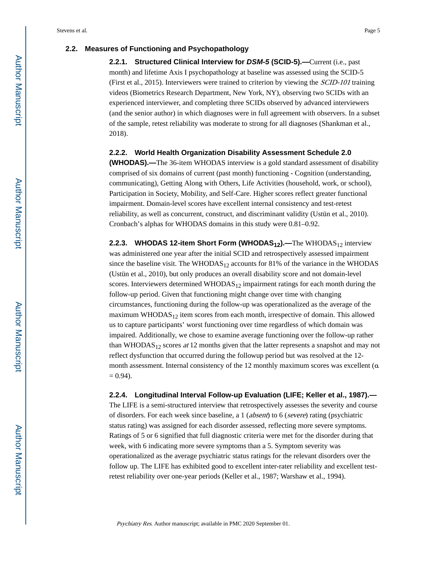## **2.2. Measures of Functioning and Psychopathology**

**2.2.1. Structured Clinical Interview for DSM-5 (SCID-5).—**Current (i.e., past month) and lifetime Axis I psychopathology at baseline was assessed using the SCID-5 (First et al., 2015). Interviewers were trained to criterion by viewing the SCID-101 training videos (Biometrics Research Department, New York, NY), observing two SCIDs with an experienced interviewer, and completing three SCIDs observed by advanced interviewers (and the senior author) in which diagnoses were in full agreement with observers. In a subset of the sample, retest reliability was moderate to strong for all diagnoses (Shankman et al., 2018).

### **2.2.2. World Health Organization Disability Assessment Schedule 2.0**

**(WHODAS).—**The 36-item WHODAS interview is a gold standard assessment of disability comprised of six domains of current (past month) functioning - Cognition (understanding, communicating), Getting Along with Others, Life Activities (household, work, or school), Participation in Society, Mobility, and Self-Care. Higher scores reflect greater functional impairment. Domain-level scores have excellent internal consistency and test-retest reliability, as well as concurrent, construct, and discriminant validity (Ustün et al., 2010). Cronbach's alphas for WHODAS domains in this study were 0.81–0.92.

**2.2.3. WHODAS 12-item Short Form (WHODAS<sub>12</sub>).—The WHODAS<sub>12</sub> interview** was administered one year after the initial SCID and retrospectively assessed impairment since the baseline visit. The WHODAS<sub>12</sub> accounts for 81% of the variance in the WHODAS (Ustün et al., 2010), but only produces an overall disability score and not domain-level scores. Interviewers determined  $WHODAS_{12}$  impairment ratings for each month during the follow-up period. Given that functioning might change over time with changing circumstances, functioning during the follow-up was operationalized as the average of the maximum WHODAS $_{12}$  item scores from each month, irrespective of domain. This allowed us to capture participants' worst functioning over time regardless of which domain was impaired. Additionally, we chose to examine average functioning over the follow-up rather than WHODAS<sub>12</sub> scores *at* 12 months given that the latter represents a snapshot and may not reflect dysfunction that occurred during the followup period but was resolved at the 12 month assessment. Internal consistency of the 12 monthly maximum scores was excellent (α  $= 0.94$ ).

**2.2.4. Longitudinal Interval Follow-up Evaluation (LIFE; Keller et al., 1987).—** The LIFE is a semi-structured interview that retrospectively assesses the severity and course of disorders. For each week since baseline, a 1 (absent) to 6 (severe) rating (psychiatric

status rating) was assigned for each disorder assessed, reflecting more severe symptoms. Ratings of 5 or 6 signified that full diagnostic criteria were met for the disorder during that week, with 6 indicating more severe symptoms than a 5. Symptom severity was operationalized as the average psychiatric status ratings for the relevant disorders over the follow up. The LIFE has exhibited good to excellent inter-rater reliability and excellent testretest reliability over one-year periods (Keller et al., 1987; Warshaw et al., 1994).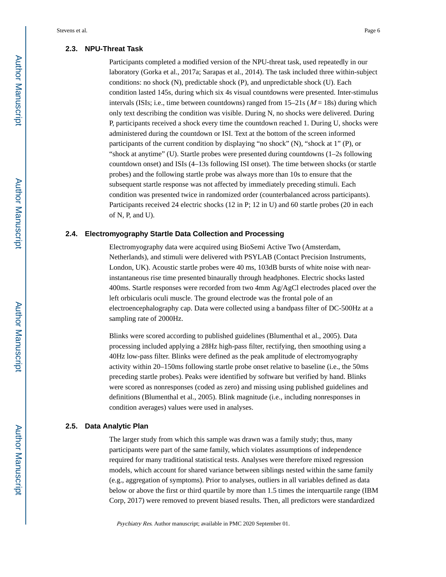## **2.3. NPU-Threat Task**

Participants completed a modified version of the NPU-threat task, used repeatedly in our laboratory (Gorka et al., 2017a; Sarapas et al., 2014). The task included three within-subject conditions: no shock (N), predictable shock (P), and unpredictable shock (U). Each condition lasted 145s, during which six 4s visual countdowns were presented. Inter-stimulus intervals (ISIs; i.e., time between countdowns) ranged from  $15-21s$  ( $M = 18s$ ) during which only text describing the condition was visible. During N, no shocks were delivered. During P, participants received a shock every time the countdown reached 1. During U, shocks were administered during the countdown or ISI. Text at the bottom of the screen informed participants of the current condition by displaying "no shock" (N), "shock at 1" (P), or "shock at anytime" (U). Startle probes were presented during countdowns (1–2s following countdown onset) and ISIs (4–13s following ISI onset). The time between shocks (or startle probes) and the following startle probe was always more than 10s to ensure that the subsequent startle response was not affected by immediately preceding stimuli. Each condition was presented twice in randomized order (counterbalanced across participants). Participants received 24 electric shocks (12 in P; 12 in U) and 60 startle probes (20 in each of N, P, and U).

#### **2.4. Electromyography Startle Data Collection and Processing**

Electromyography data were acquired using BioSemi Active Two (Amsterdam, Netherlands), and stimuli were delivered with PSYLAB (Contact Precision Instruments, London, UK). Acoustic startle probes were 40 ms, 103dB bursts of white noise with nearinstantaneous rise time presented binaurally through headphones. Electric shocks lasted 400ms. Startle responses were recorded from two 4mm Ag/AgCl electrodes placed over the left orbicularis oculi muscle. The ground electrode was the frontal pole of an electroencephalography cap. Data were collected using a bandpass filter of DC-500Hz at a sampling rate of 2000Hz.

Blinks were scored according to published guidelines (Blumenthal et al., 2005). Data processing included applying a 28Hz high-pass filter, rectifying, then smoothing using a 40Hz low-pass filter. Blinks were defined as the peak amplitude of electromyography activity within 20–150ms following startle probe onset relative to baseline (i.e., the 50ms preceding startle probes). Peaks were identified by software but verified by hand. Blinks were scored as nonresponses (coded as zero) and missing using published guidelines and definitions (Blumenthal et al., 2005). Blink magnitude (i.e., including nonresponses in condition averages) values were used in analyses.

# **2.5. Data Analytic Plan**

The larger study from which this sample was drawn was a family study; thus, many participants were part of the same family, which violates assumptions of independence required for many traditional statistical tests. Analyses were therefore mixed regression models, which account for shared variance between siblings nested within the same family (e.g., aggregation of symptoms). Prior to analyses, outliers in all variables defined as data below or above the first or third quartile by more than 1.5 times the interquartile range (IBM Corp, 2017) were removed to prevent biased results. Then, all predictors were standardized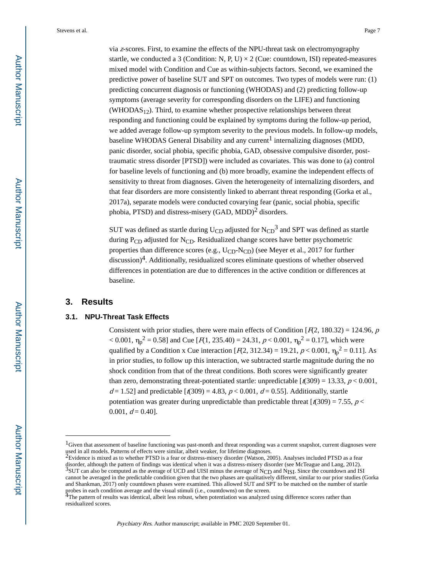via z-scores. First, to examine the effects of the NPU-threat task on electromyography startle, we conducted a 3 (Condition: N, P, U)  $\times$  2 (Cue: countdown, ISI) repeated-measures mixed model with Condition and Cue as within-subjects factors. Second, we examined the predictive power of baseline SUT and SPT on outcomes. Two types of models were run: (1) predicting concurrent diagnosis or functioning (WHODAS) and (2) predicting follow-up symptoms (average severity for corresponding disorders on the LIFE) and functioning (WHODAS<sub>12</sub>). Third, to examine whether prospective relationships between threat responding and functioning could be explained by symptoms during the follow-up period, we added average follow-up symptom severity to the previous models. In follow-up models, baseline WHODAS General Disability and any current<sup>1</sup> internalizing diagnoses (MDD, panic disorder, social phobia, specific phobia, GAD, obsessive compulsive disorder, posttraumatic stress disorder [PTSD]) were included as covariates. This was done to (a) control for baseline levels of functioning and (b) more broadly, examine the independent effects of sensitivity to threat from diagnoses. Given the heterogeneity of internalizing disorders, and that fear disorders are more consistently linked to aberrant threat responding (Gorka et al., 2017a), separate models were conducted covarying fear (panic, social phobia, specific phobia, PTSD) and distress-misery  $(GAD, MDD)^2$  disorders.

SUT was defined as startle during  $U_{CD}$  adjusted for  $N_{CD}^3$  and SPT was defined as startle during  $P_{CD}$  adjusted for N<sub>CD</sub>. Residualized change scores have better psychometric properties than difference scores (e.g., U<sub>CD</sub>-N<sub>CD</sub>) (see Meyer et al., 2017 for further discussion)4. Additionally, residualized scores eliminate questions of whether observed differences in potentiation are due to differences in the active condition or differences at baseline.

# **3. Results**

# **3.1. NPU-Threat Task Effects**

Consistent with prior studies, there were main effects of Condition  $[F(2, 180.32) = 124.96, p$  $< 0.001$ ,  $\eta_p^2 = 0.58$ ] and Cue [*F*(1, 235.40) = 24.31, *p* < 0.001,  $\eta_p^2 = 0.17$ ], which were qualified by a Condition x Cue interaction [ $R$ 2, 312.34) = 19.21,  $p$  < 0.001,  $\eta_p^2$  = 0.11]. As in prior studies, to follow up this interaction, we subtracted startle magnitude during the no shock condition from that of the threat conditions. Both scores were significantly greater than zero, demonstrating threat-potentiated startle: unpredictable  $[(1309) = 13.33, p < 0.001,$  $d = 1.52$ ] and predictable  $\lbrack t(309) = 4.83, p < 0.001, d = 0.55 \rbrack$ . Additionally, startle potentiation was greater during unpredictable than predictable threat  $\lceil \frac{1}{309} \rceil = 7.55$ ,  $p <$  $0.001, d = 0.40$ ].

<sup>1</sup>Given that assessment of baseline functioning was past-month and threat responding was a current snapshot, current diagnoses were used in all models. Patterns of effects were similar, albeit weaker, for lifetime diagnoses.<br><sup>2</sup>Evidence is mixed as to whether PTSD is a fear or distress-misery disorder (Watson, 2005). Analyses included PTSD as a fear

disorder, although the pattern of findings was identical when it was a distress-misery disorder (see McTeague and Lang, 2012).<br><sup>3</sup>SUT can also be computed as the average of UCD and UISI minus the average of N<sub>CD</sub> and N<sub>IS</sub> cannot be averaged in the predictable condition given that the two phases are qualitatively different, similar to our prior studies (Gorka and Shankman, 2017) only countdown phases were examined. This allowed SUT and SPT to be matched on the number of startle

probes in each condition average and the visual stimuli (i.e., countdowns) on the screen.<br><sup>4</sup>The pattern of results was identical, albeit less robust, when potentiation was analyzed using difference scores rather than residualized scores.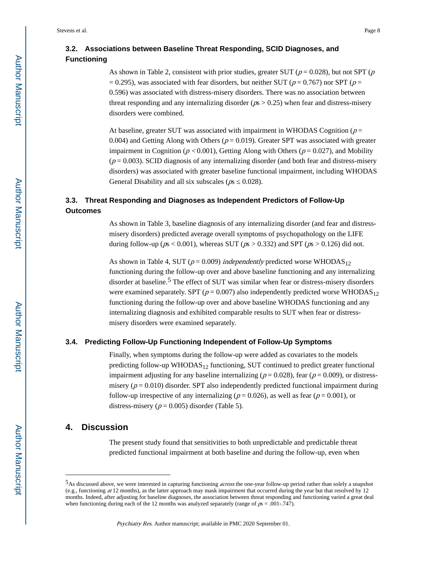# **3.2. Associations between Baseline Threat Responding, SCID Diagnoses, and Functioning**

As shown in Table 2, consistent with prior studies, greater SUT ( $p = 0.028$ ), but not SPT ( $p$  $= 0.295$ ), was associated with fear disorders, but neither SUT ( $p = 0.767$ ) nor SPT ( $p = 0.767$ ) 0.596) was associated with distress-misery disorders. There was no association between threat responding and any internalizing disorder ( $p_s > 0.25$ ) when fear and distress-misery disorders were combined.

At baseline, greater SUT was associated with impairment in WHODAS Cognition ( $p =$ 0.004) and Getting Along with Others ( $p = 0.019$ ). Greater SPT was associated with greater impairment in Cognition ( $p < 0.001$ ), Getting Along with Others ( $p = 0.027$ ), and Mobility  $(p = 0.003)$ . SCID diagnosis of any internalizing disorder (and both fear and distress-misery disorders) was associated with greater baseline functional impairment, including WHODAS General Disability and all six subscales ( $p_s$  = 0.028).

# **3.3. Threat Responding and Diagnoses as Independent Predictors of Follow-Up Outcomes**

As shown in Table 3, baseline diagnosis of any internalizing disorder (and fear and distressmisery disorders) predicted average overall symptoms of psychopathology on the LIFE during follow-up ( $ps < 0.001$ ), whereas SUT ( $ps > 0.332$ ) and SPT ( $ps > 0.126$ ) did not.

As shown in Table 4, SUT ( $p = 0.009$ ) independently predicted worse WHODAS<sub>12</sub> functioning during the follow-up over and above baseline functioning and any internalizing disorder at baseline.<sup>5</sup> The effect of SUT was similar when fear or distress-misery disorders were examined separately. SPT ( $p = 0.007$ ) also independently predicted worse WHODAS<sub>12</sub> functioning during the follow-up over and above baseline WHODAS functioning and any internalizing diagnosis and exhibited comparable results to SUT when fear or distressmisery disorders were examined separately.

#### **3.4. Predicting Follow-Up Functioning Independent of Follow-Up Symptoms**

Finally, when symptoms during the follow-up were added as covariates to the models predicting follow-up WHODAS<sub>12</sub> functioning, SUT continued to predict greater functional impairment adjusting for any baseline internalizing ( $p = 0.028$ ), fear ( $p = 0.009$ ), or distressmisery ( $p = 0.010$ ) disorder. SPT also independently predicted functional impairment during follow-up irrespective of any internalizing ( $p = 0.026$ ), as well as fear ( $p = 0.001$ ), or distress-misery ( $p = 0.005$ ) disorder (Table 5).

# **4. Discussion**

The present study found that sensitivities to both unpredictable and predictable threat predicted functional impairment at both baseline and during the follow-up, even when

<sup>5</sup>As discussed above, we were interested in capturing functioning across the one-year follow-up period rather than solely a snapshot (e.g., functioning at 12 months), as the latter approach may mask impairment that occurred during the year but that resolved by 12 months. Indeed, after adjusting for baseline diagnoses, the association between threat responding and functioning varied a great deal when functioning during each of the 12 months was analyzed separately (range of  $p_s = .001-.747$ ).

Psychiatry Res. Author manuscript; available in PMC 2020 September 01.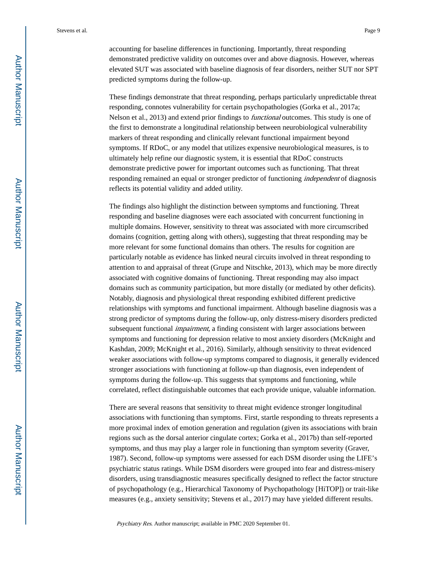accounting for baseline differences in functioning. Importantly, threat responding demonstrated predictive validity on outcomes over and above diagnosis. However, whereas elevated SUT was associated with baseline diagnosis of fear disorders, neither SUT nor SPT predicted symptoms during the follow-up.

These findings demonstrate that threat responding, perhaps particularly unpredictable threat responding, connotes vulnerability for certain psychopathologies (Gorka et al., 2017a; Nelson et al., 2013) and extend prior findings to functional outcomes. This study is one of the first to demonstrate a longitudinal relationship between neurobiological vulnerability markers of threat responding and clinically relevant functional impairment beyond symptoms. If RDoC, or any model that utilizes expensive neurobiological measures, is to ultimately help refine our diagnostic system, it is essential that RDoC constructs demonstrate predictive power for important outcomes such as functioning. That threat responding remained an equal or stronger predictor of functioning *independent* of diagnosis reflects its potential validity and added utility.

The findings also highlight the distinction between symptoms and functioning. Threat responding and baseline diagnoses were each associated with concurrent functioning in multiple domains. However, sensitivity to threat was associated with more circumscribed domains (cognition, getting along with others), suggesting that threat responding may be more relevant for some functional domains than others. The results for cognition are particularly notable as evidence has linked neural circuits involved in threat responding to attention to and appraisal of threat (Grupe and Nitschke, 2013), which may be more directly associated with cognitive domains of functioning. Threat responding may also impact domains such as community participation, but more distally (or mediated by other deficits). Notably, diagnosis and physiological threat responding exhibited different predictive relationships with symptoms and functional impairment. Although baseline diagnosis was a strong predictor of symptoms during the follow-up, only distress-misery disorders predicted subsequent functional *impairment*, a finding consistent with larger associations between symptoms and functioning for depression relative to most anxiety disorders (McKnight and Kashdan, 2009; McKnight et al., 2016). Similarly, although sensitivity to threat evidenced weaker associations with follow-up symptoms compared to diagnosis, it generally evidenced stronger associations with functioning at follow-up than diagnosis, even independent of symptoms during the follow-up. This suggests that symptoms and functioning, while correlated, reflect distinguishable outcomes that each provide unique, valuable information.

There are several reasons that sensitivity to threat might evidence stronger longitudinal associations with functioning than symptoms. First, startle responding to threats represents a more proximal index of emotion generation and regulation (given its associations with brain regions such as the dorsal anterior cingulate cortex; Gorka et al., 2017b) than self-reported symptoms, and thus may play a larger role in functioning than symptom severity (Graver, 1987). Second, follow-up symptoms were assessed for each DSM disorder using the LIFE's psychiatric status ratings. While DSM disorders were grouped into fear and distress-misery disorders, using transdiagnostic measures specifically designed to reflect the factor structure of psychopathology (e.g., Hierarchical Taxonomy of Psychopathology [HiTOP]) or trait-like measures (e.g., anxiety sensitivity; Stevens et al., 2017) may have yielded different results.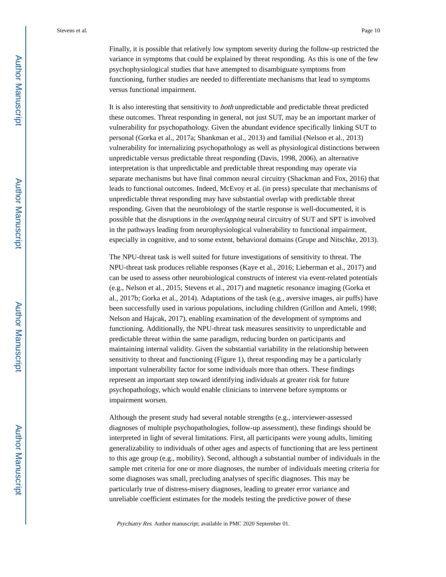Stevens et al. Page 10

Finally, it is possible that relatively low symptom severity during the follow-up restricted the variance in symptoms that could be explained by threat responding. As this is one of the few psychophysiological studies that have attempted to disambiguate symptoms from functioning, further studies are needed to differentiate mechanisms that lead to symptoms versus functional impairment.

It is also interesting that sensitivity to both unpredictable and predictable threat predicted these outcomes. Threat responding in general, not just SUT, may be an important marker of vulnerability for psychopathology. Given the abundant evidence specifically linking SUT to personal (Gorka et al., 2017a; Shankman et al., 2013) and familial (Nelson et al., 2013) vulnerability for internalizing psychopathology as well as physiological distinctions between unpredictable versus predictable threat responding (Davis, 1998, 2006), an alternative interpretation is that unpredictable and predictable threat responding may operate via separate mechanisms but have final common neural circuitry (Shackman and Fox, 2016) that leads to functional outcomes. Indeed, McEvoy et al. (in press) speculate that mechanisms of unpredictable threat responding may have substantial overlap with predictable threat responding. Given that the neurobiology of the startle response is well-documented, it is possible that the disruptions in the overlapping neural circuitry of SUT and SPT is involved in the pathways leading from neurophysiological vulnerability to functional impairment, especially in cognitive, and to some extent, behavioral domains (Grupe and Nitschke, 2013).

The NPU-threat task is well suited for future investigations of sensitivity to threat. The NPU-threat task produces reliable responses (Kaye et al., 2016; Lieberman et al., 2017) and can be used to assess other neurobiological constructs of interest via event-related potentials (e.g., Nelson et al., 2015; Stevens et al., 2017) and magnetic resonance imaging (Gorka et al., 2017b; Gorka et al., 2014). Adaptations of the task (e.g., aversive images, air puffs) have been successfully used in various populations, including children (Grillon and Ameli, 1998; Nelson and Hajcak, 2017), enabling examination of the development of symptoms and functioning. Additionally, the NPU-threat task measures sensitivity to unpredictable and predictable threat within the same paradigm, reducing burden on participants and maintaining internal validity. Given the substantial variability in the relationship between sensitivity to threat and functioning (Figure 1), threat responding may be a particularly important vulnerability factor for some individuals more than others. These findings represent an important step toward identifying individuals at greater risk for future psychopathology, which would enable clinicians to intervene before symptoms or impairment worsen.

Although the present study had several notable strengths (e.g., interviewer-assessed diagnoses of multiple psychopathologies, follow-up assessment), these findings should be interpreted in light of several limitations. First, all participants were young adults, limiting generalizability to individuals of other ages and aspects of functioning that are less pertinent to this age group (e.g., mobility). Second, although a substantial number of individuals in the sample met criteria for one or more diagnoses, the number of individuals meeting criteria for some diagnoses was small, precluding analyses of specific diagnoses. This may be particularly true of distress-misery diagnoses, leading to greater error variance and unreliable coefficient estimates for the models testing the predictive power of these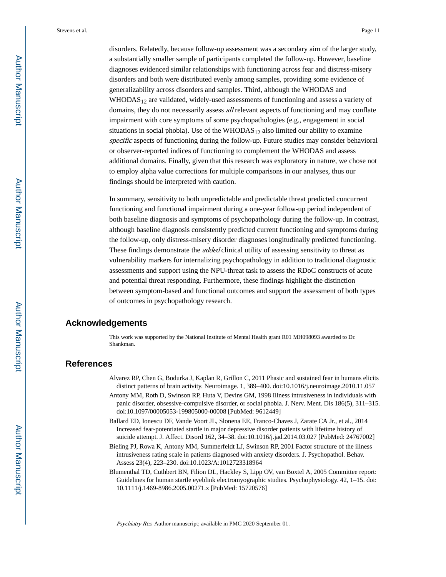disorders. Relatedly, because follow-up assessment was a secondary aim of the larger study, a substantially smaller sample of participants completed the follow-up. However, baseline diagnoses evidenced similar relationships with functioning across fear and distress-misery disorders and both were distributed evenly among samples, providing some evidence of generalizability across disorders and samples. Third, although the WHODAS and  $WHODAS<sub>12</sub>$  are validated, widely-used assessments of functioning and assess a variety of domains, they do not necessarily assess *all* relevant aspects of functioning and may conflate impairment with core symptoms of some psychopathologies (e.g., engagement in social situations in social phobia). Use of the  $WHODAS_{12}$  also limited our ability to examine specific aspects of functioning during the follow-up. Future studies may consider behavioral or observer-reported indices of functioning to complement the WHODAS and assess additional domains. Finally, given that this research was exploratory in nature, we chose not to employ alpha value corrections for multiple comparisons in our analyses, thus our findings should be interpreted with caution.

In summary, sensitivity to both unpredictable and predictable threat predicted concurrent functioning and functional impairment during a one-year follow-up period independent of both baseline diagnosis and symptoms of psychopathology during the follow-up. In contrast, although baseline diagnosis consistently predicted current functioning and symptoms during the follow-up, only distress-misery disorder diagnoses longitudinally predicted functioning. These findings demonstrate the *added* clinical utility of assessing sensitivity to threat as vulnerability markers for internalizing psychopathology in addition to traditional diagnostic assessments and support using the NPU-threat task to assess the RDoC constructs of acute and potential threat responding. Furthermore, these findings highlight the distinction between symptom-based and functional outcomes and support the assessment of both types of outcomes in psychopathology research.

# **Acknowledgements**

This work was supported by the National Institute of Mental Health grant R01 MH098093 awarded to Dr. Shankman.

# **References**

- Alvarez RP, Chen G, Bodurka J, Kaplan R, Grillon C, 2011 Phasic and sustained fear in humans elicits distinct patterns of brain activity. Neuroimage. 1, 389–400. doi:10.1016/j.neuroimage.2010.11.057
- Antony MM, Roth D, Swinson RP, Huta V, Devins GM, 1998 Illness intrusiveness in individuals with panic disorder, obsessive-compulsive disorder, or social phobia. J. Nerv. Ment. Dis 186(5), 311–315. doi:10.1097/00005053-199805000-00008 [PubMed: 9612449]
- Ballard ED, Ionescu DF, Vande Voort JL, Slonena EE, Franco-Chaves J, Zarate CA Jr., et al., 2014 Increased fear-potentiated startle in major depressive disorder patients with lifetime history of suicide attempt. J. Affect. Disord 162, 34–38. doi:10.1016/j.jad.2014.03.027 [PubMed: 24767002]
- Bieling PJ, Rowa K, Antony MM, Summerfeldt LJ, Swinson RP, 2001 Factor structure of the illness intrusiveness rating scale in patients diagnosed with anxiety disorders. J. Psychopathol. Behav. Assess 23(4), 223–230. doi:10.1023/A:1012723318964
- Blumenthal TD, Cuthbert BN, Filion DL, Hackley S, Lipp OV, van Boxtel A, 2005 Committee report: Guidelines for human startle eyeblink electromyographic studies. Psychophysiology. 42, 1–15. doi: 10.1111/j.1469-8986.2005.00271.x [PubMed: 15720576]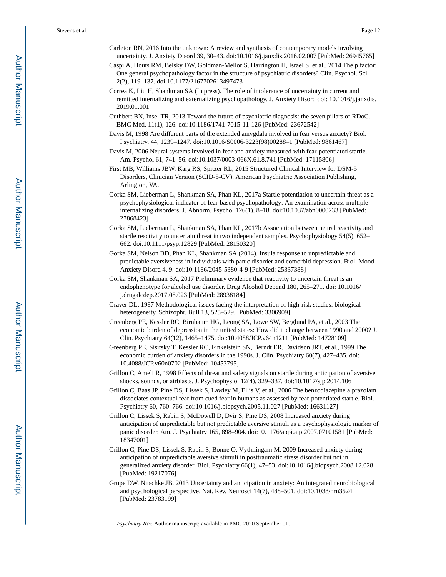- Carleton RN, 2016 Into the unknown: A review and synthesis of contemporary models involving uncertainty. J. Anxiety Disord 39, 30–43. doi:10.1016/j.janxdis.2016.02.007 [PubMed: 26945765]
- Caspi A, Houts RM, Belsky DW, Goldman-Mellor S, Harrington H, Israel S, et al., 2014 The p factor: One general psychopathology factor in the structure of psychiatric disorders? Clin. Psychol. Sci 2(2), 119–137. doi:10.1177/2167702613497473
- Correa K, Liu H, Shankman SA (In press). The role of intolerance of uncertainty in current and remitted internalizing and externalizing psychopathology. J. Anxiety Disord doi: 10.1016/j.janxdis. 2019.01.001
- Cuthbert BN, Insel TR, 2013 Toward the future of psychiatric diagnosis: the seven pillars of RDoC. BMC Med. 11(1), 126. doi:10.1186/1741-7015-11-126 [PubMed: 23672542]
- Davis M, 1998 Are different parts of the extended amygdala involved in fear versus anxiety? Biol. Psychiatry. 44, 1239–1247. doi:10.1016/S0006-3223(98)00288–1 [PubMed: 9861467]
- Davis M, 2006 Neural systems involved in fear and anxiety measured with fear-potentiated startle. Am. Psychol 61, 741–56. doi:10.1037/0003-066X.61.8.741 [PubMed: 17115806]
- First MB, Williams JBW, Karg RS, Spitzer RL, 2015 Structured Clinical Interview for DSM-5 Disorders, Clinician Version (SCID-5-CV). American Psychiatric Association Publishing, Arlington, VA.
- Gorka SM, Lieberman L, Shankman SA, Phan KL, 2017a Startle potentiation to uncertain threat as a psychophysiological indicator of fear-based psychopathology: An examination across multiple internalizing disorders. J. Abnorm. Psychol 126(1), 8–18. doi:10.1037/abn0000233 [PubMed: 27868423]
- Gorka SM, Lieberman L, Shankman SA, Phan KL, 2017b Association between neural reactivity and startle reactivity to uncertain threat in two independent samples. Psychophysiology 54(5), 652– 662. doi:10.1111/psyp.12829 [PubMed: 28150320]
- Gorka SM, Nelson BD, Phan KL, Shankman SA (2014). Insula response to unpredictable and predictable aversiveness in individuals with panic disorder and comorbid depression. Biol. Mood Anxiety Disord 4, 9. doi:10.1186/2045-5380-4-9 [PubMed: 25337388]
- Gorka SM, Shankman SA, 2017 Preliminary evidence that reactivity to uncertain threat is an endophenotype for alcohol use disorder. Drug Alcohol Depend 180, 265–271. doi: 10.1016/ j.drugalcdep.2017.08.023 [PubMed: 28938184]
- Graver DL, 1987 Methodological issues facing the interpretation of high-risk studies: biological heterogeneity. Schizophr. Bull 13, 525–529. [PubMed: 3306909]
- Greenberg PE, Kessler RC, Birnbaum HG, Leong SA, Lowe SW, Berglund PA, et al., 2003 The economic burden of depression in the united states: How did it change between 1990 and 2000? J. Clin. Psychiatry 64(12), 1465–1475. doi:10.4088/JCP.v64n1211 [PubMed: 14728109]
- Greenberg PE, Sisitsky T, Kessler RC, Finkelstein SN, Berndt ER, Davidson JRT, et al., 1999 The economic burden of anxiety disorders in the 1990s. J. Clin. Psychiatry 60(7), 427–435. doi: 10.4088/JCP.v60n0702 [PubMed: 10453795]
- Grillon C, Ameli R, 1998 Effects of threat and safety signals on startle during anticipation of aversive shocks, sounds, or airblasts. J. Psychophysiol 12(4), 329–337. doi:10.1017/sjp.2014.106
- Grillon C, Baas JP, Pine DS, Lissek S, Lawley M, Ellis V, et al., 2006 The benzodiazepine alprazolam dissociates contextual fear from cued fear in humans as assessed by fear-potentiated startle. Biol. Psychiatry 60, 760–766. doi:10.1016/j.biopsych.2005.11.027 [PubMed: 16631127]
- Grillon C, Lissek S, Rabin S, McDowell D, Dvir S, Pine DS, 2008 Increased anxiety during anticipation of unpredictable but not predictable aversive stimuli as a psychophysiologic marker of panic disorder. Am. J. Psychiatry 165, 898–904. doi:10.1176/appi.ajp.2007.07101581 [PubMed: 18347001]
- Grillon C, Pine DS, Lissek S, Rabin S, Bonne O, Vythilingam M, 2009 Increased anxiety during anticipation of unpredictable aversive stimuli in posttraumatic stress disorder but not in generalized anxiety disorder. Biol. Psychiatry 66(1), 47–53. doi:10.1016/j.biopsych.2008.12.028 [PubMed: 19217076]
- Grupe DW, Nitschke JB, 2013 Uncertainty and anticipation in anxiety: An integrated neurobiological and psychological perspective. Nat. Rev. Neurosci 14(7), 488–501. doi:10.1038/nrn3524 [PubMed: 23783199]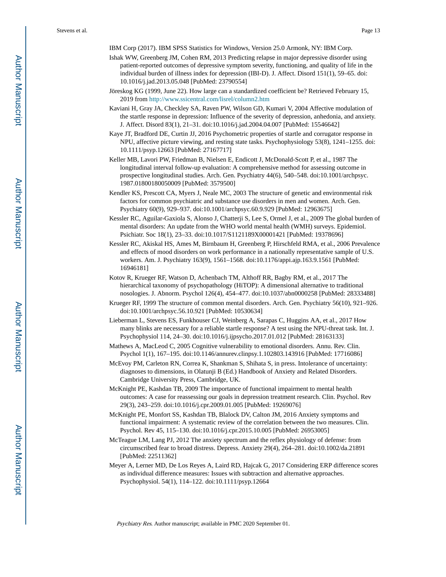IBM Corp (2017). IBM SPSS Statistics for Windows, Version 25.0 Armonk, NY: IBM Corp.

- Ishak WW, Greenberg JM, Cohen RM, 2013 Predicting relapse in major depressive disorder using patient-reported outcomes of depressive symptom severity, functioning, and quality of life in the individual burden of illness index for depression (IBI-D). J. Affect. Disord 151(1), 59–65. doi: 10.1016/j.jad.2013.05.048 [PubMed: 23790554]
- Jöreskog KG (1999, June 22). How large can a standardized coefficient be? Retrieved February 15, 2019 from <http://www.ssicentral.com/lisrel/column2.htm>
- Kaviani H, Gray JA, Checkley SA, Raven PW, Wilson GD, Kumari V, 2004 Affective modulation of the startle response in depression: Influence of the severity of depression, anhedonia, and anxiety. J. Affect. Disord 83(1), 21–31. doi:10.1016/j.jad.2004.04.007 [PubMed: 15546642]
- Kaye JT, Bradford DE, Curtin JJ, 2016 Psychometric properties of startle and corrugator response in NPU, affective picture viewing, and resting state tasks. Psychophysiology 53(8), 1241–1255. doi: 10.1111/psyp.12663 [PubMed: 27167717]
- Keller MB, Lavori PW, Friedman B, Nielsen E, Endicott J, McDonald-Scott P, et al., 1987 The longitudinal interval follow-up evaluation: A comprehensive method for assessing outcome in prospective longitudinal studies. Arch. Gen. Psychiatry 44(6), 540–548. doi:10.1001/archpsyc. 1987.01800180050009 [PubMed: 3579500]
- Kendler KS, Prescott CA, Myers J, Neale MC, 2003 The structure of genetic and environmental risk factors for common psychiatric and substance use disorders in men and women. Arch. Gen. Psychiatry 60(9), 929–937. doi:10.1001/archpsyc.60.9.929 [PubMed: 12963675]
- Kessler RC, Aguilar-Gaxiola S, Alonso J, Chatterji S, Lee S, Ormel J, et al., 2009 The global burden of mental disorders: An update from the WHO world mental health (WMH) surveys. Epidemiol. Psichiatr. Soc 18(1), 23–33. doi:10.1017/S1121189X00001421 [PubMed: 19378696]
- Kessler RC, Akiskal HS, Ames M, Birnbaum H, Greenberg P, Hirschfeld RMA, et al., 2006 Prevalence and effects of mood disorders on work performance in a nationally representative sample of U.S. workers. Am. J. Psychiatry 163(9), 1561–1568. doi:10.1176/appi.ajp.163.9.1561 [PubMed: 16946181]
- Kotov R, Krueger RF, Watson D, Achenbach TM, Althoff RR, Bagby RM, et al., 2017 The hierarchical taxonomy of psychopathology (HiTOP): A dimensional alternative to traditional nosologies. J. Abnorm. Psychol 126(4), 454–477. doi:10.1037/abn0000258 [PubMed: 28333488]
- Krueger RF, 1999 The structure of common mental disorders. Arch. Gen. Psychiatry 56(10), 921–926. doi:10.1001/archpsyc.56.10.921 [PubMed: 10530634]
- Lieberman L, Stevens ES, Funkhouser CJ, Weinberg A, Sarapas C, Huggins AA, et al., 2017 How many blinks are necessary for a reliable startle response? A test using the NPU-threat task. Int. J. Psychophysiol 114, 24–30. doi:10.1016/j.ijpsycho.2017.01.012 [PubMed: 28163133]
- Mathews A, MacLeod C, 2005 Cognitive vulnerability to emotional disorders. Annu. Rev. Clin. Psychol 1(1), 167–195. doi:10.1146/annurev.clinpsy.1.102803.143916 [PubMed: 17716086]
- McEvoy PM, Carleton RN, Correa K, Shankman S, Shihata S, in press. Intolerance of uncertainty: diagnoses to dimensions, in Olatunji B (Ed.) Handbook of Anxiety and Related Disorders. Cambridge University Press, Cambridge, UK.
- McKnight PE, Kashdan TB, 2009 The importance of functional impairment to mental health outcomes: A case for reassessing our goals in depression treatment research. Clin. Psychol. Rev 29(3), 243–259. doi:10.1016/j.cpr.2009.01.005 [PubMed: 19269076]
- McKnight PE, Monfort SS, Kashdan TB, Blalock DV, Calton JM, 2016 Anxiety symptoms and functional impairment: A systematic review of the correlation between the two measures. Clin. Psychol. Rev 45, 115–130. doi:10.1016/j.cpr.2015.10.005 [PubMed: 26953005]
- McTeague LM, Lang PJ, 2012 The anxiety spectrum and the reflex physiology of defense: from circumscribed fear to broad distress. Depress. Anxiety 29(4), 264–281. doi:10.1002/da.21891 [PubMed: 22511362]
- Meyer A, Lerner MD, De Los Reyes A, Laird RD, Hajcak G, 2017 Considering ERP difference scores as individual difference measures: Issues with subtraction and alternative approaches. Psychophysiol. 54(1), 114–122. doi:10.1111/psyp.12664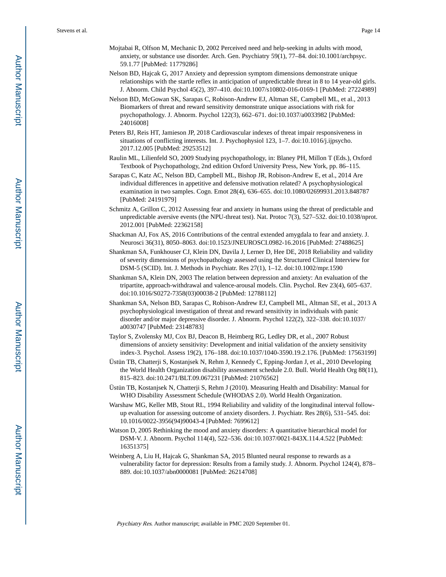- Mojtabai R, Olfson M, Mechanic D, 2002 Perceived need and help-seeking in adults with mood, anxiety, or substance use disorder. Arch. Gen. Psychiatry 59(1), 77–84. doi:10.1001/archpsyc. 59.1.77 [PubMed: 11779286]
- Nelson BD, Hajcak G, 2017 Anxiety and depression symptom dimensions demonstrate unique relationships with the startle reflex in anticipation of unpredictable threat in 8 to 14 year-old girls. J. Abnorm. Child Psychol 45(2), 397–410. doi:10.1007/s10802-016-0169-1 [PubMed: 27224989]
- Nelson BD, McGowan SK, Sarapas C, Robison-Andrew EJ, Altman SE, Campbell ML, et al., 2013 Biomarkers of threat and reward sensitivity demonstrate unique associations with risk for psychopathology. J. Abnorm. Psychol 122(3), 662–671. doi:10.1037/a0033982 [PubMed: 24016008]
- Peters BJ, Reis HT, Jamieson JP, 2018 Cardiovascular indexes of threat impair responsiveness in situations of conflicting interests. Int. J. Psychophysiol 123, 1–7. doi:10.1016/j.ijpsycho. 2017.12.005 [PubMed: 29253512]
- Raulin ML, Lilienfeld SO, 2009 Studying psychopathology, in: Blaney PH, Millon T (Eds.), Oxford Textbook of Psychopathology, 2nd edition Oxford University Press, New York, pp. 86–115.
- Sarapas C, Katz AC, Nelson BD, Campbell ML, Bishop JR, Robison-Andrew E, et al., 2014 Are individual differences in appetitive and defensive motivation related? A psychophysiological examination in two samples. Cogn. Emot 28(4), 636–655. doi:10.1080/02699931.2013.848787 [PubMed: 24191979]
- Schmitz A, Grillon C, 2012 Assessing fear and anxiety in humans using the threat of predictable and unpredictable aversive events (the NPU-threat test). Nat. Protoc 7(3), 527–532. doi:10.1038/nprot. 2012.001 [PubMed: 22362158]
- Shackman AJ, Fox AS, 2016 Contributions of the central extended amygdala to fear and anxiety. J. Neurosci 36(31), 8050–8063. doi:10.1523/JNEUROSCI.0982-16.2016 [PubMed: 27488625]
- Shankman SA, Funkhouser CJ, Klein DN, Davila J, Lerner D, Hee DE, 2018 Reliability and validity of severity dimensions of psychopathology assessed using the Structured Clinical Interview for DSM-5 (SCID). Int. J. Methods in Psychiatr. Res 27(1), 1–12. doi:10.1002/mpr.1590
- Shankman SA, Klein DN, 2003 The relation between depression and anxiety: An evaluation of the tripartite, approach-withdrawal and valence-arousal models. Clin. Psychol. Rev 23(4), 605–637. doi:10.1016/S0272-7358(03)00038-2 [PubMed: 12788112]
- Shankman SA, Nelson BD, Sarapas C, Robison-Andrew EJ, Campbell ML, Altman SE, et al., 2013 A psychophysiological investigation of threat and reward sensitivity in individuals with panic disorder and/or major depressive disorder. J. Abnorm. Psychol 122(2), 322–338. doi:10.1037/ a0030747 [PubMed: 23148783]
- Taylor S, Zvolensky MJ, Cox BJ, Deacon B, Heimberg RG, Ledley DR, et al., 2007 Robust dimensions of anxiety sensitivity: Development and initial validation of the anxiety sensitivity index-3. Psychol. Assess 19(2), 176–188. doi:10.1037/1040-3590.19.2.176. [PubMed: 17563199]
- Üstün TB, Chatterji S, Kostanjsek N, Rehm J, Kennedy C, Epping-Jordan J, et al., 2010 Developing the World Health Organization disability assessment schedule 2.0. Bull. World Health Org 88(11), 815–823. doi:10.2471/BLT.09.067231 [PubMed: 21076562]
- Üstün TB, Kostanjsek N, Chatterji S, Rehm J (2010). Measuring Health and Disability: Manual for WHO Disability Assessment Schedule (WHODAS 2.0). World Health Organization.
- Warshaw MG, Keller MB, Stout RL, 1994 Reliability and validity of the longitudinal interval followup evaluation for assessing outcome of anxiety disorders. J. Psychiatr. Res 28(6), 531–545. doi: 10.1016/0022-3956(94)90043-4 [PubMed: 7699612]
- Watson D, 2005 Rethinking the mood and anxiety disorders: A quantitative hierarchical model for DSM-V. J. Abnorm. Psychol 114(4), 522–536. doi:10.1037/0021-843X.114.4.522 [PubMed: 16351375]
- Weinberg A, Liu H, Hajcak G, Shankman SA, 2015 Blunted neural response to rewards as a vulnerability factor for depression: Results from a family study. J. Abnorm. Psychol 124(4), 878– 889. doi:10.1037/abn0000081 [PubMed: 26214708]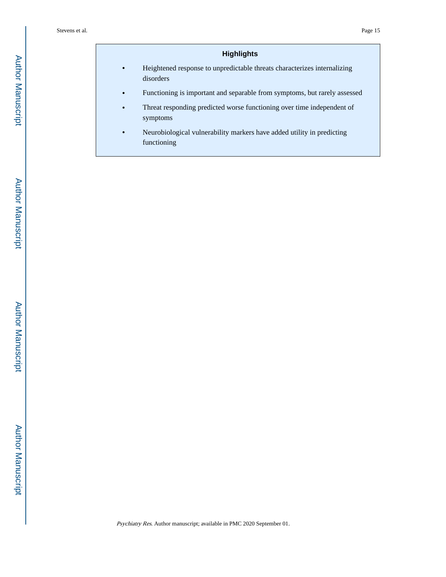# **Highlights**

- **•** Heightened response to unpredictable threats characterizes internalizing disorders
- **•** Functioning is important and separable from symptoms, but rarely assessed
- **•** Threat responding predicted worse functioning over time independent of symptoms
- **•** Neurobiological vulnerability markers have added utility in predicting functioning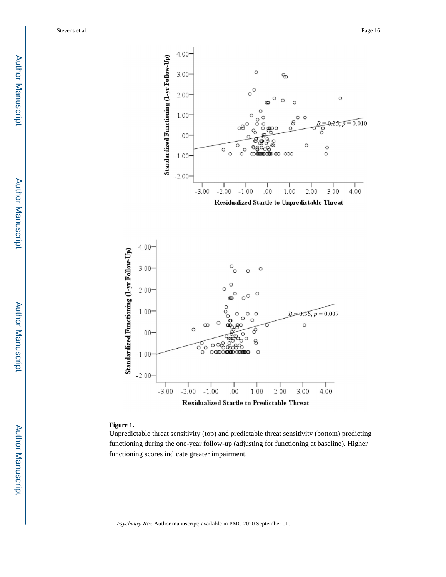Stevens et al. Page 16



Residualized Startle to Predictable Threat

### **Figure 1.**

Standardized Functioning (1-yr Follow-Up)

Unpredictable threat sensitivity (top) and predictable threat sensitivity (bottom) predicting functioning during the one-year follow-up (adjusting for functioning at baseline). Higher functioning scores indicate greater impairment.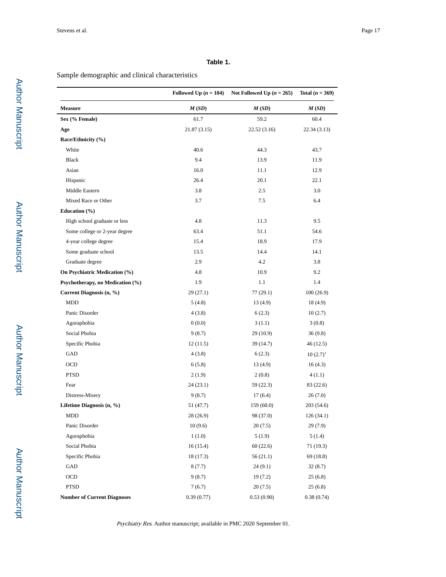# **Table 1.**

# Sample demographic and clinical characteristics

|                                       | Followed Up $(n = 104)$ | Not Followed Up $(n = 265)$ | Total $(n = 369)$ |  |
|---------------------------------------|-------------------------|-----------------------------|-------------------|--|
| <b>Measure</b>                        | M(SD)                   | M(SD)                       | M(SD)             |  |
| Sex (% Female)                        | 61.7                    | 59.2                        | 60.4              |  |
| Age                                   | 21.87 (3.15)            | 22.52 (3.16)                | 22.34 (3.13)      |  |
| Race/Ethnicity (%)                    |                         |                             |                   |  |
| White                                 | 40.6                    | 44.3                        | 43.7              |  |
| <b>Black</b>                          | 9.4                     | 13.9                        | 11.9              |  |
| Asian                                 | 16.0                    | 11.1                        | 12.9              |  |
| Hispanic                              | 26.4                    | 20.1                        | 22.1              |  |
| Middle Eastern                        | 3.8                     | 2.5                         | 3.0               |  |
| Mixed Race or Other                   | 3.7                     | 7.5                         | 6.4               |  |
| Education $(\% )$                     |                         |                             |                   |  |
| High school graduate or less          | 4.8                     | 11.3                        | 9.5               |  |
| Some college or 2-year degree         | 63.4                    | 51.1                        | 54.6              |  |
| 4-year college degree                 | 15.4                    | 18.9                        | 17.9              |  |
| Some graduate school                  | 13.5                    | 14.4                        | 14.1              |  |
| Graduate degree                       | 2.9                     | 4.2                         | 3.8               |  |
| On Psychiatric Medication (%)         | 4.8                     | 10.9                        | 9.2               |  |
| Psychotherapy, no Medication (%)      | 1.9                     | 1.1                         | 1.4               |  |
| Current Diagnosis (n, %)              | 29(27.1)                | 77(29.1)                    | 100(26.9)         |  |
| <b>MDD</b>                            | 5(4.8)                  | 13(4.9)                     | 18(4.9)           |  |
| Panic Disorder                        | 4(3.8)                  | 6(2.3)                      | 10(2.7)           |  |
| Agoraphobia                           | 0(0.0)                  | 3(1.1)                      | 3(0.8)            |  |
| Social Phobia                         | 9(8.7)                  | 29 (10.9)                   | 36(9.8)           |  |
| Specific Phobia                       | 12(11.5)                | 39 (14.7)                   | 46 (12.5)         |  |
| GAD                                   | 4(3.8)                  | 6(2.3)                      | $10(2.7)^+$       |  |
| <b>OCD</b>                            | 6(5.8)                  | 13(4.9)                     | 16(4.3)           |  |
| <b>PTSD</b>                           | 2(1.9)                  | 2(0.8)                      | 4(1.1)            |  |
| Fear                                  | 24(23.1)                | 59 (22.3)                   | 83 (22.6)         |  |
| Distress-Misery                       | 9(8.7)                  | 17(6.4)                     | 26(7.0)           |  |
| Lifetime Diagnosis $(n, \frac{9}{6})$ | 51 (47.7)               | 159(60.0)                   | 203 (54.6)        |  |
| <b>MDD</b>                            | 28(26.9)                | 98 (37.0)                   | 126(34.1)         |  |
| Panic Disorder                        | 10(9.6)                 | 20(7.5)                     | 29(7.9)           |  |
| Agoraphobia                           | 1(1.0)                  | 5(1.9)                      | 5(1.4)            |  |
| Social Phobia                         | 16(15.4)                | 60(22.6)                    | 71 (19.3)         |  |
| Specific Phobia                       | 18(17.3)                | 56(21.1)                    | 69(18.8)          |  |
| GAD                                   | 8(7.7)                  | 24(9.1)                     | 32(8.7)           |  |
| <b>OCD</b>                            | 9(8.7)                  | 19(7.2)                     | 25(6.8)           |  |
| <b>PTSD</b>                           | 7(6.7)                  | 20(7.5)                     | 25(6.8)           |  |
| <b>Number of Current Diagnoses</b>    | 0.39(0.77)              | 0.53(0.90)                  | 0.38(0.74)        |  |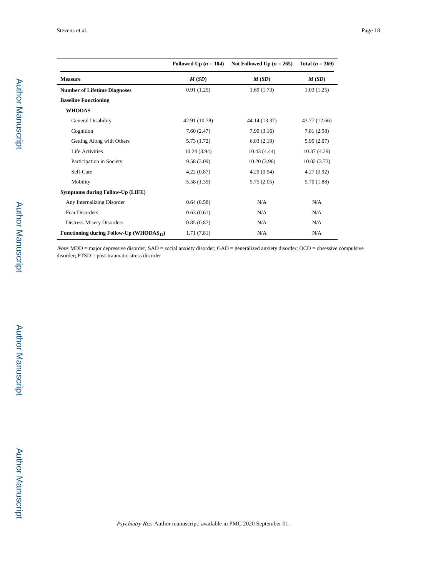|                                                      | Followed Up $(n = 104)$ | Not Followed Up $(n = 265)$ | Total $(n = 369)$ |
|------------------------------------------------------|-------------------------|-----------------------------|-------------------|
| <b>Measure</b>                                       | M(SD)                   | M(SD)                       | M(SD)             |
| <b>Number of Lifetime Diagnoses</b>                  | 0.91(1.25)              | 1.69(1.73)                  | 1.03(1.25)        |
| <b>Baseline Functioning</b>                          |                         |                             |                   |
| <b>WHODAS</b>                                        |                         |                             |                   |
| General Disability                                   | 42.91 (10.78)           | 44.14 (13.37)               | 43.77 (12.66)     |
| Cognition                                            | 7.60(2.47)              | 7.90(3.16)                  | 7.81 (2.98)       |
| Getting Along with Others                            | 5.73 (1.72)             | 6.03(2.19)                  | 5.95(2.07)        |
| <b>Life Activities</b>                               | 10.24(3.94)             | 10.43(4.44)                 | 10.37(4.29)       |
| Participation in Society                             | 9.58(3.09)              | 10.20(3.96)                 | 10.02(3.73)       |
| Self-Care                                            | 4.22(0.87)              | 4.29(0.94)                  | 4.27(0.92)        |
| Mobility                                             | 5.58(1.39)              | 5.75(2.05)                  | 5.70(1.88)        |
| <b>Symptoms during Follow-Up (LIFE)</b>              |                         |                             |                   |
| Any Internalizing Disorder                           | 0.64(0.58)              | N/A                         | N/A               |
| <b>Fear Disorders</b>                                | 0.63(0.61)              | N/A                         | N/A               |
| Distress-Misery Disorders                            | 0.85(0.87)              | N/A                         | N/A               |
| Functioning during Follow-Up (WHODAS <sub>12</sub> ) | 1.71(7.81)              | N/A                         | N/A               |

Note: MDD = major depressive disorder; SAD = social anxiety disorder; GAD = generalized anxiety disorder; OCD = obsessive compulsive disorder; PTSD = post-traumatic stress disorder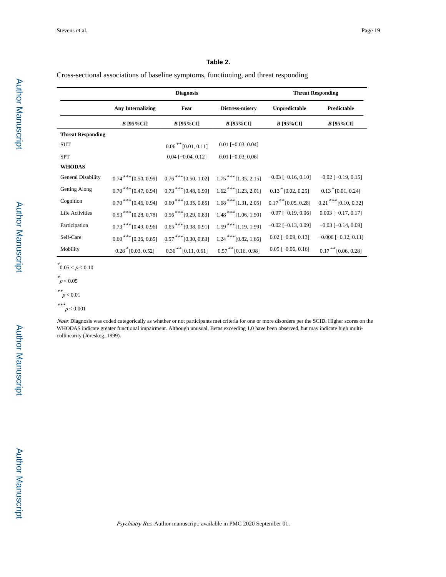### **Table 2.**

Cross-sectional associations of baseline symptoms, functioning, and threat responding

|                          |                                    | <b>Diagnosis</b>                                    | <b>Threat Responding</b>           |                                   |                                  |
|--------------------------|------------------------------------|-----------------------------------------------------|------------------------------------|-----------------------------------|----------------------------------|
|                          | <b>Any Internalizing</b>           | Fear                                                | Distress-misery                    | Unpredictable                     | Predictable                      |
|                          | $B$ [95%CI]                        | <i>B</i> [95%CI]                                    | $B$ [95%CI]                        | $B$ [95%CI]                       | <i>B</i> [95%CI]                 |
| <b>Threat Responding</b> |                                    |                                                     |                                    |                                   |                                  |
| <b>SUT</b>               |                                    | $0.06$ <sup>**</sup> [0.01, 0.11]                   | $0.01$ [ $-0.03$ , $0.04$ ]        |                                   |                                  |
| <b>SPT</b>               |                                    | $0.04$ [-0.04, 0.12]                                | $0.01$ [-0.03, 0.06]               |                                   |                                  |
| <b>WHODAS</b>            |                                    |                                                     |                                    |                                   |                                  |
| General Disability       |                                    | $0.74$ *** $[0.50, 0.99]$ $0.76$ *** $[0.50, 1.02]$ | $1.75***$ [1.35, 2.15]             | $-0.03$ [ $-0.16$ , 0.10]         | $-0.02$ [ $-0.19, 0.15$ ]        |
| Getting Along            | $0.70$ <sup>***</sup> [0.47, 0.94] | $0.73***$ [0.48, 0.99]                              | $1.62$ *** $[1.23, 2.01]$          | $0.13*$ [0.02, 0.25]              | $0.13$ <sup>*</sup> [0.01, 0.24] |
| Cognition                | $0.70$ <sup>***</sup> [0.46, 0.94] | $0.60$ <sup>***</sup> [0.35, 0.85]                  | $1.68$ <sup>***</sup> [1.31, 2.05] | $0.17$ <sup>**</sup> [0.05, 0.28] | $0.21$ *** $[0.10, 0.32]$        |
| <b>Life Activities</b>   | $0.53$ *** [0.28, 0.78]            | $0.56***[0.29, 0.83]$                               | $1.48***$ [1.06, 1.90]             | $-0.07$ [ $-0.19, 0.06$ ]         | $0.003$ [-0.17, 0.17]            |
| Participation            | $0.73$ *** $[0.49, 0.96]$          | $0.65***$ [0.38, 0.91]                              | $1.59***$ [1.19, 1.99]             | $-0.02$ [ $-0.13$ , 0.09]         | $-0.03$ [ $-0.14$ , 0.09]        |
| Self-Care                | $0.60$ <sup>***</sup> [0.36, 0.85] | $0.57***$ [0.30, 0.83]                              | $1.24$ *** $[0.82, 1.66]$          | $0.02$ [-0.09, 0.13]              | $-0.006$ [ $-0.12$ , 0.11]       |
| Mobility                 | $0.28*$ [0.03, 0.52]               | $0.36$ <sup>**</sup> [0.11, 0.61]                   | $0.57$ <sup>**</sup> [0.16, 0.98]  | $0.05$ [-0.06, 0.16]              | $0.17***$ [0.06, 0.28]           |

 $t<sup>+</sup>0.05 < p < 0.10$ 

 $p$  < 0.05

\*\*<br> $p < 0.01$ 

\*\*\* $p < 0.001$ 

Note: Diagnosis was coded categorically as whether or not participants met criteria for one or more disorders per the SCID. Higher scores on the WHODAS indicate greater functional impairment. Although unusual, Betas exceeding 1.0 have been observed, but may indicate high multicollinearity (Jöreskog, 1999).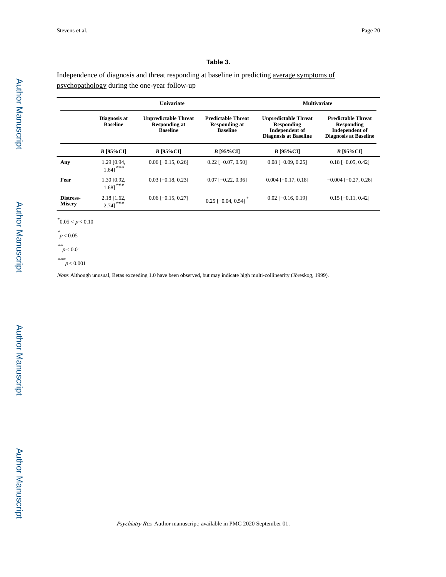# **Table 3.**

Independence of diagnosis and threat responding at baseline in predicting average symptoms of psychopathology during the one-year follow-up

|                            | Univariate                                                                                                |                      |                                                                      | <b>Multivariate</b>                                                                                |                                                                                                  |  |
|----------------------------|-----------------------------------------------------------------------------------------------------------|----------------------|----------------------------------------------------------------------|----------------------------------------------------------------------------------------------------|--------------------------------------------------------------------------------------------------|--|
|                            | Diagnosis at<br><b>Unpredictable Threat</b><br><b>Baseline</b><br><b>Responding at</b><br><b>Baseline</b> |                      | <b>Predictable Threat</b><br><b>Responding at</b><br><b>Baseline</b> | <b>Unpredictable Threat</b><br><b>Responding</b><br>Independent of<br><b>Diagnosis at Baseline</b> | <b>Predictable Threat</b><br><b>Responding</b><br>Independent of<br><b>Diagnosis at Baseline</b> |  |
|                            | <i>B</i> [95%CI]                                                                                          | <i>B</i> [95%CI]     | <i>B</i> [95%CI]                                                     | <i>B</i> [95%CI]                                                                                   | <i>B</i> [95%CI]                                                                                 |  |
| Any                        | 1.29 [0.94,<br>$1.64$ ] <sup>***</sup>                                                                    | $0.06$ [-0.15, 0.26] | $0.22$ [-0.07, 0.50]                                                 | $0.08$ [ $-0.09$ , $0.25$ ]                                                                        | $0.18$ [ $-0.05$ , $0.42$ ]                                                                      |  |
| Fear                       | $1.30\ [0.92,$<br>$1.68$ ] <sup>***</sup>                                                                 | $0.03$ [-0.18, 0.23] | $0.07$ [-0.22, 0.36]                                                 | $0.004$ [-0.17, 0.18]                                                                              | $-0.004$ [ $-0.27$ , 0.26]                                                                       |  |
| Distress-<br><b>Misery</b> | $2.18$ [1.62,<br>$2.74$ ] <sup>***</sup>                                                                  | $0.06$ [-0.15, 0.27] | $0.25$ [-0.04, 0.54] <sup>+</sup>                                    | $0.02$ [-0.16, 0.19]                                                                               | $0.15$ [-0.11, 0.42]                                                                             |  |

 $t<sup>+</sup>0.05 < p < 0.10$ 

 $p$  < 0.05

\*\*

 $p < 0.01$ 

Note: Although unusual, Betas exceeding 1.0 have been observed, but may indicate high multi-collinearity (Jöreskog, 1999).

<sup>\*\*\*</sup> $p < 0.001$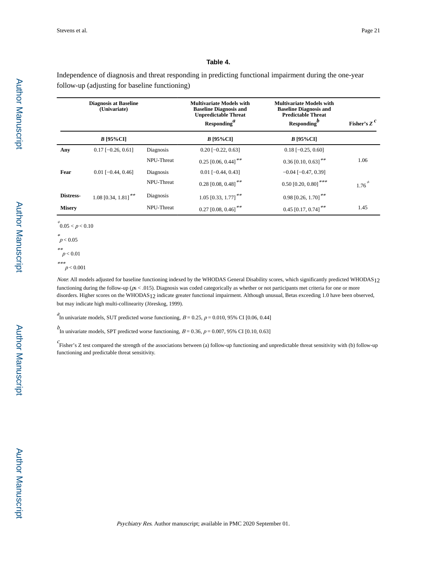#### **Table 4.**

Independence of diagnosis and threat responding in predicting functional impairment during the one-year follow-up (adjusting for baseline functioning)

| <b>Diagnosis at Baseline</b><br>(Univariate) |                                   | <b>Multivariate Models with</b><br><b>Baseline Diagnosis and</b><br><b>Unpredictable Threat</b><br>Responding $\int_a^b$ | <b>Multivariate Models with</b><br><b>Baseline Diagnosis and</b><br><b>Predictable Threat</b><br>Responding <sup>b</sup> | Fisher's $Z^c$                     |            |
|----------------------------------------------|-----------------------------------|--------------------------------------------------------------------------------------------------------------------------|--------------------------------------------------------------------------------------------------------------------------|------------------------------------|------------|
|                                              | <i>B</i> [95%CI]                  |                                                                                                                          | $B$ [95%CI]                                                                                                              | <i>B</i> [95%CI]                   |            |
| Any                                          | $0.17$ [-0.26, 0.61]              | Diagnosis                                                                                                                | $0.20$ [-0.22, 0.63]                                                                                                     | $0.18$ [-0.25, 0.60]               |            |
|                                              |                                   | NPU-Threat                                                                                                               | $0.25$ [0.06, 0.44] <sup>**</sup>                                                                                        | $0.36$ [0.10, 0.63] <sup>**</sup>  | 1.06       |
| Fear                                         | $0.01$ [-0.44, 0.46]              | Diagnosis                                                                                                                | $0.01$ [-0.44, 0.43]                                                                                                     | $-0.04$ [ $-0.47$ , 0.39]          |            |
|                                              |                                   | NPU-Threat                                                                                                               | $0.28$ [0.08, 0.48] <sup>**</sup>                                                                                        | $0.50$ [0.20, 0.80] <sup>***</sup> | $1.76^{+}$ |
| Distress-                                    | $1.08$ [0.34, 1.81] <sup>**</sup> | Diagnosis                                                                                                                | $1.05$ [0.33, 1.77] <sup>**</sup>                                                                                        | $0.98$ [0.26, 1.70] <sup>**</sup>  |            |
| <b>Misery</b>                                |                                   | NPU-Threat                                                                                                               | $0.27$ [0.08, 0.46] <sup>**</sup>                                                                                        | 0.45 [0.17, 0.74] $**$             | 1.45       |

 $t<sup>+</sup>0.05 < p < 0.10$ 

 $p$  < 0.05

\*\*<br> $p < 0.01$ 

\*\*\* $p < 0.001$ 

Note: All models adjusted for baseline functioning indexed by the WHODAS General Disability scores, which significantly predicted WHODAS12 functioning during the follow-up ( $ps < .015$ ). Diagnosis was coded categorically as whether or not participants met criteria for one or more disorders. Higher scores on the WHODAS12 indicate greater functional impairment. Although unusual, Betas exceeding 1.0 have been observed, but may indicate high multi-collinearity (Jöreskog, 1999).

<sup>a</sup>In univariate models, SUT predicted worse functioning,  $B = 0.25$ ,  $p = 0.010$ , 95% CI [0.06, 0.44]

b<br>In univariate models, SPT predicted worse functioning,  $B = 0.36$ ,  $p = 0.007$ , 95% CI [0.10, 0.63]

c Fisher's Z test compared the strength of the associations between (a) follow-up functioning and unpredictable threat sensitivity with (b) follow-up functioning and predictable threat sensitivity.